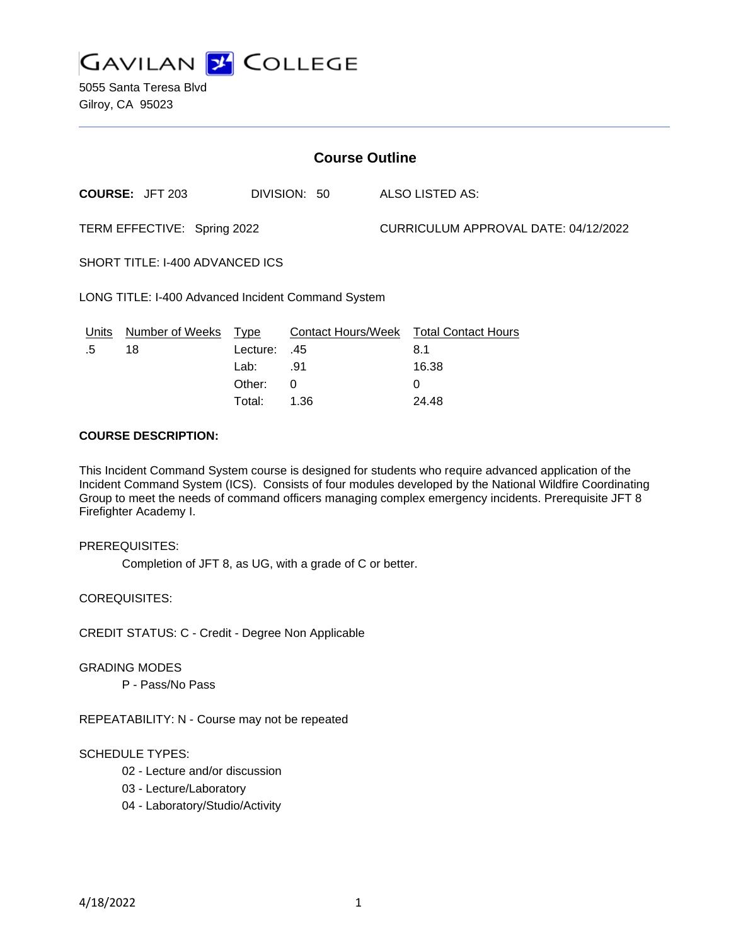

5055 Santa Teresa Blvd Gilroy, CA 95023

| <b>Course Outline</b>                              |                                        |          |                 |                                      |                                        |
|----------------------------------------------------|----------------------------------------|----------|-----------------|--------------------------------------|----------------------------------------|
|                                                    | <b>COURSE: JFT 203</b><br>DIVISION: 50 |          | ALSO LISTED AS: |                                      |                                        |
| TERM EFFECTIVE: Spring 2022                        |                                        |          |                 | CURRICULUM APPROVAL DATE: 04/12/2022 |                                        |
| SHORT TITLE: I-400 ADVANCED ICS                    |                                        |          |                 |                                      |                                        |
| LONG TITLE: I-400 Advanced Incident Command System |                                        |          |                 |                                      |                                        |
| Units                                              | Number of Weeks Type                   |          |                 |                                      | Contact Hours/Week Total Contact Hours |
| .5                                                 | 18                                     | Lecture: | .45             |                                      | 8.1                                    |
|                                                    |                                        | Lab:     | .91             |                                      | 16.38                                  |
|                                                    |                                        | Other:   | $\Omega$        |                                      | $\Omega$                               |
|                                                    |                                        | Total:   | 1.36            |                                      | 24.48                                  |

### **COURSE DESCRIPTION:**

This Incident Command System course is designed for students who require advanced application of the Incident Command System (ICS). Consists of four modules developed by the National Wildfire Coordinating Group to meet the needs of command officers managing complex emergency incidents. Prerequisite JFT 8 Firefighter Academy I.

### PREREQUISITES:

Completion of JFT 8, as UG, with a grade of C or better.

COREQUISITES:

CREDIT STATUS: C - Credit - Degree Non Applicable

#### GRADING MODES

P - Pass/No Pass

REPEATABILITY: N - Course may not be repeated

#### SCHEDULE TYPES:

- 02 Lecture and/or discussion
- 03 Lecture/Laboratory
- 04 Laboratory/Studio/Activity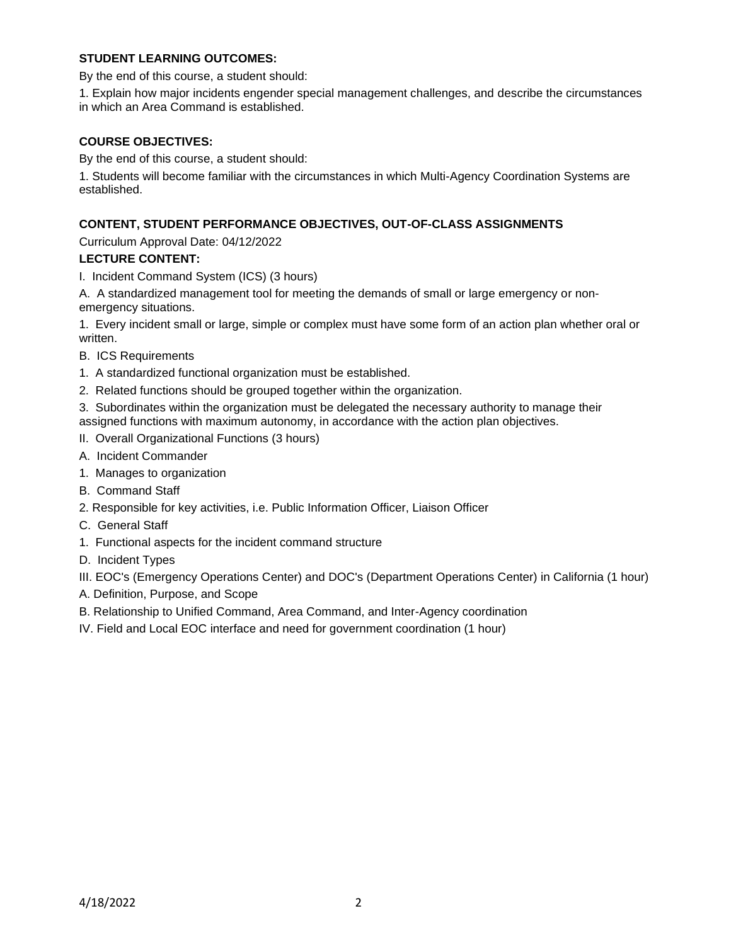## **STUDENT LEARNING OUTCOMES:**

By the end of this course, a student should:

1. Explain how major incidents engender special management challenges, and describe the circumstances in which an Area Command is established.

### **COURSE OBJECTIVES:**

By the end of this course, a student should:

1. Students will become familiar with the circumstances in which Multi-Agency Coordination Systems are established.

## **CONTENT, STUDENT PERFORMANCE OBJECTIVES, OUT-OF-CLASS ASSIGNMENTS**

Curriculum Approval Date: 04/12/2022

## **LECTURE CONTENT:**

I. Incident Command System (ICS) (3 hours)

A. A standardized management tool for meeting the demands of small or large emergency or nonemergency situations.

1. Every incident small or large, simple or complex must have some form of an action plan whether oral or written.

- B. ICS Requirements
- 1. A standardized functional organization must be established.
- 2. Related functions should be grouped together within the organization.

3. Subordinates within the organization must be delegated the necessary authority to manage their assigned functions with maximum autonomy, in accordance with the action plan objectives.

- II. Overall Organizational Functions (3 hours)
- A. Incident Commander
- 1. Manages to organization
- B. Command Staff
- 2. Responsible for key activities, i.e. Public Information Officer, Liaison Officer
- C. General Staff
- 1. Functional aspects for the incident command structure
- D. Incident Types

III. EOC's (Emergency Operations Center) and DOC's (Department Operations Center) in California (1 hour)

- A. Definition, Purpose, and Scope
- B. Relationship to Unified Command, Area Command, and Inter-Agency coordination
- IV. Field and Local EOC interface and need for government coordination (1 hour)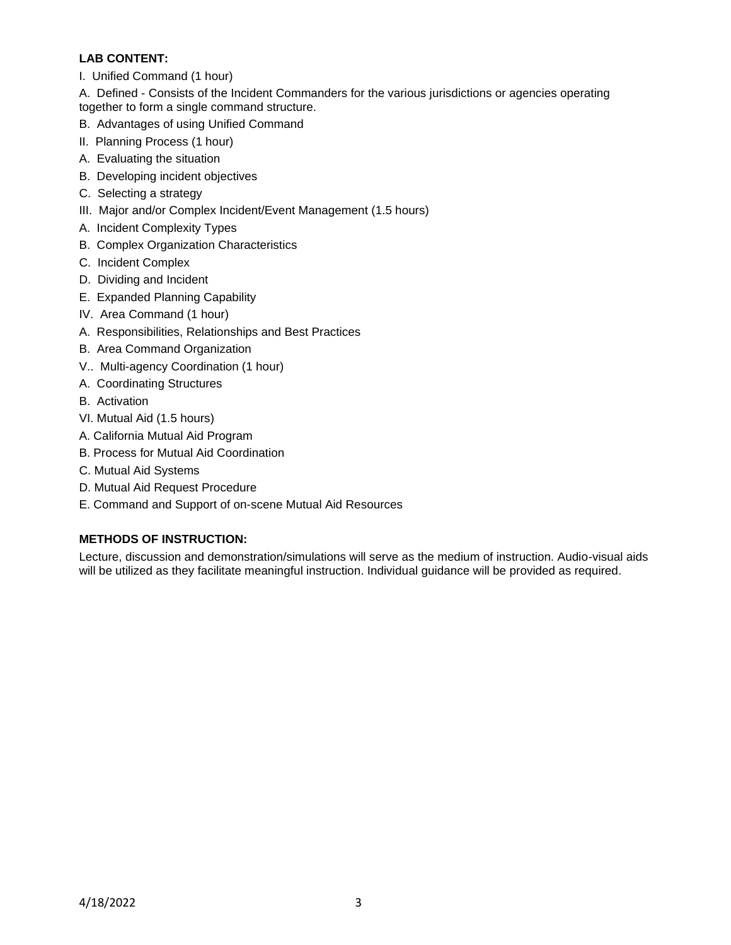# **LAB CONTENT:**

I. Unified Command (1 hour)

A. Defined - Consists of the Incident Commanders for the various jurisdictions or agencies operating together to form a single command structure.

- B. Advantages of using Unified Command
- II. Planning Process (1 hour)
- A. Evaluating the situation
- B. Developing incident objectives
- C. Selecting a strategy
- III. Major and/or Complex Incident/Event Management (1.5 hours)
- A. Incident Complexity Types
- B. Complex Organization Characteristics
- C. Incident Complex
- D. Dividing and Incident
- E. Expanded Planning Capability
- IV. Area Command (1 hour)
- A. Responsibilities, Relationships and Best Practices
- B. Area Command Organization
- V.. Multi-agency Coordination (1 hour)
- A. Coordinating Structures
- B. Activation
- VI. Mutual Aid (1.5 hours)
- A. California Mutual Aid Program
- B. Process for Mutual Aid Coordination
- C. Mutual Aid Systems
- D. Mutual Aid Request Procedure
- E. Command and Support of on-scene Mutual Aid Resources

# **METHODS OF INSTRUCTION:**

Lecture, discussion and demonstration/simulations will serve as the medium of instruction. Audio-visual aids will be utilized as they facilitate meaningful instruction. Individual guidance will be provided as required.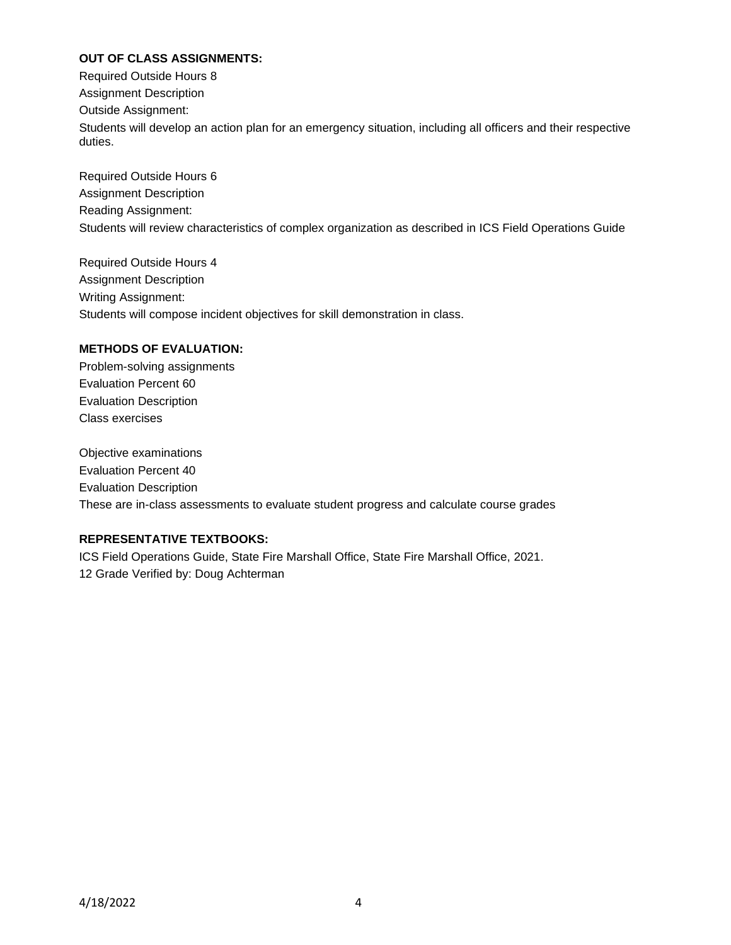# **OUT OF CLASS ASSIGNMENTS:**

Required Outside Hours 8 Assignment Description Outside Assignment: Students will develop an action plan for an emergency situation, including all officers and their respective duties.

Required Outside Hours 6 Assignment Description Reading Assignment: Students will review characteristics of complex organization as described in ICS Field Operations Guide

Required Outside Hours 4 Assignment Description Writing Assignment: Students will compose incident objectives for skill demonstration in class.

## **METHODS OF EVALUATION:**

Problem-solving assignments Evaluation Percent 60 Evaluation Description Class exercises

Objective examinations Evaluation Percent 40 Evaluation Description These are in-class assessments to evaluate student progress and calculate course grades

## **REPRESENTATIVE TEXTBOOKS:**

ICS Field Operations Guide, State Fire Marshall Office, State Fire Marshall Office, 2021. 12 Grade Verified by: Doug Achterman